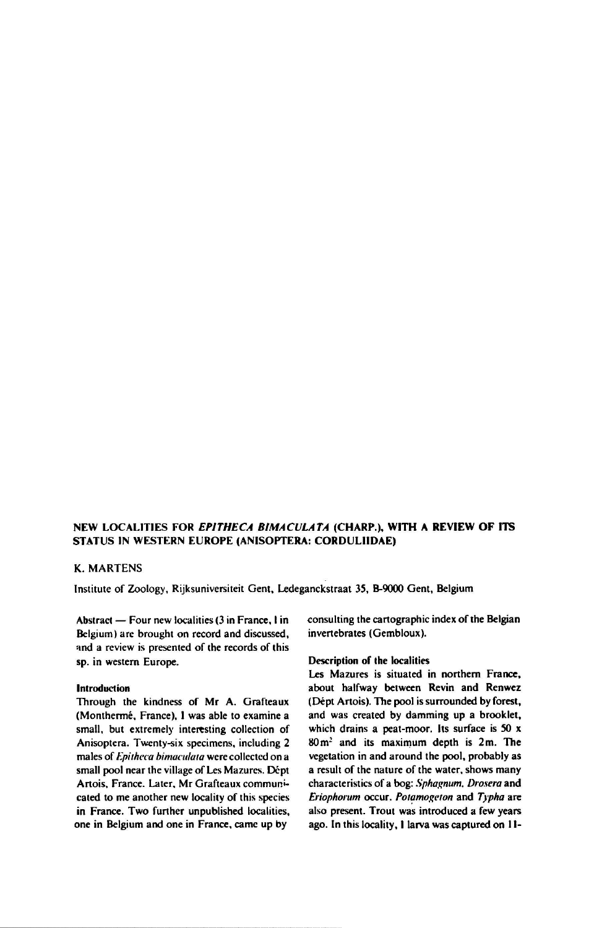## NEW LOCALITIES FOR EPITHECA BIMACULATA (CHARP.), WITH A REVIEW OF ITS STATUS IN WESTERN EUROPE (ANISOPTERA: CORDULIIDAE)

## K. Martens

Institute of Zoology, Rijksuniversiteit Gent, Ledeganckstraat 35, B-9000 Gent, Belgium

Abstract — Four new localities (3 in France, <sup>1</sup> in Belgium) are brought on record and discussed, and a review is presented of the records of this sp. in western Europe.

## Introduction

Through the kindness of Mr A. Grafteaux (Monthermé, France), I was able to examine a small, but extremely interesting collection of Anisoptera. Twenty-six specimens, including 2 males of Epitheca bimaculata were collected on a small pool near the village of Les Mazures. Dépt Artois, France. Later, Mr Grafteaux communicated to me another new locality of this species in France. Two further unpublished localities, one in Belgium and one in France, came up by consulting the cartographic index of the Belgian invertebrates (Gembloux).

## Description of the localities

Les Mazures is situated in northern France, about halfway between Revin and Renwez (Dépt Artois). The pool is surrounded by forest, and was created by damming up a brooklet, which drains a peat-moor. Its surface is 50 x  $80 \text{ m}^2$  and its maximum depth is  $2 \text{ m}$ . The vegetation in and around the pool, probably as a result of the nature of the water, shows many characteristics of a bog: Sphagnum, Drosera and Eriophorum occur. Potamogeton and Typha are also present. Trout was introduced a few years ago. In this locality, I larva was captured on 11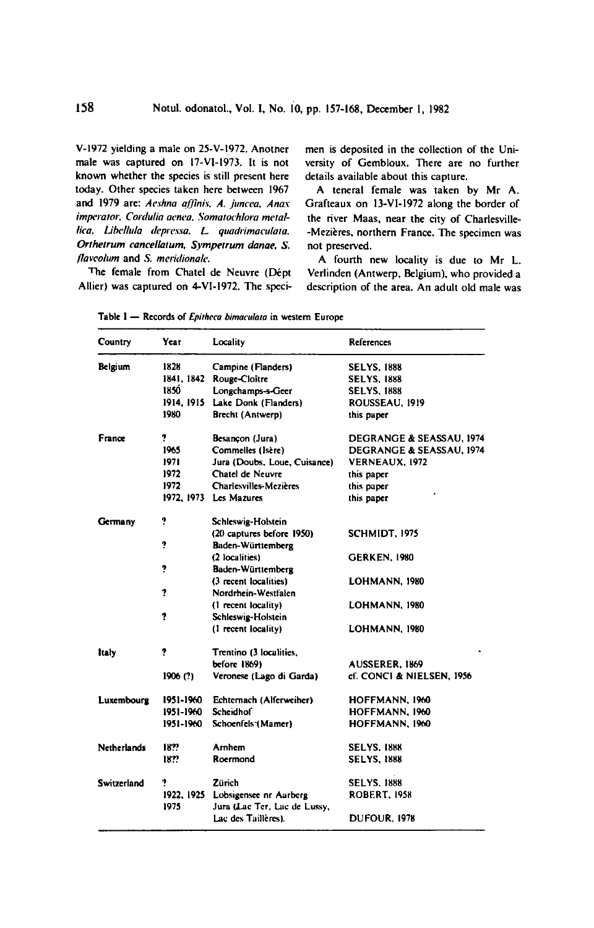V-1972 yielding a male on 25-V-1972. Anotner male was captured on I7-V1-I973. It is not known whether the species is still present here today. Other species taken here between <sup>1967</sup> and <sup>1979</sup> are: Aeshna affinis, A. juncea, Anax imperator, Cordulia aenea, Somatochlora metallica, Libellula depressa, L. quadrimaculata. Orthetrum cancellatum, Sympetrum danae, S. flaveolum and S. meridionale.

The female from Chatel de Neuvre (Dépt Allier) was captured on 4-VI-1972. The specimen is deposited in the collection of the University of Gembloux. There are no further details available about this capture.

A teneral female was taken by Mr A. Grafteaux on 13-VI-1972 along the border of the river Maas, near the city of Charlesville- -Mezieres, northern France. The specimen was not preserved.

A fourth new locality is due to Mr L. Verlinden (Antwerp, Belgium), who provided a description of the area. An adult old male was

| Country            | Үсаг       | Locality                                                          | References                |
|--------------------|------------|-------------------------------------------------------------------|---------------------------|
| Belgium            | 1828       | Campine (Flanders)                                                | <b>SELYS. 1888</b>        |
|                    | 1841, 1842 | Rouge-Cloitre                                                     | <b>SELYS. 1888</b>        |
|                    | 1850       | Longchamps-s-Geer                                                 | <b>SELYS. 1888</b>        |
|                    | 1914, 1915 | Lake Donk (Flanders)                                              | ROUSSEAU, 1919            |
|                    | 1980       | Brecht (Antwerp)                                                  | this paper                |
| France             | 7          | Besancon (Jura)                                                   | DEGRANGE & SEASSAU, 1974  |
|                    | 1965       | Commelles (Isère)                                                 | DEGRANGE & SEASSAU, 1974  |
|                    | 1971       | Jura (Doubs, Loue, Cuisance)                                      | VERNEAUX, 1972            |
|                    | 1972       | Chatel de Neuvre                                                  | this paper                |
|                    | 1972       | <b>Charlesvilles-Mezières</b>                                     | this paper                |
|                    |            | 1972, 1973 Les Mazures                                            | this paper                |
| Germany            | ?          | Schleswig-Holstein                                                |                           |
|                    |            | (20 captures before 1950)                                         | SCHMIDT, 1975             |
|                    | ʻ.         | Baden-Württemberg                                                 |                           |
|                    |            | (2 localities)                                                    | <b>GERKEN, 1980</b>       |
|                    | ?          | Baden-Württemberg                                                 |                           |
|                    |            | (3 recent localities)                                             | LOHMANN, 1980             |
|                    | ?          | Nordrhein-Westfalen                                               |                           |
|                    |            | (1 recent locality)                                               | LOHMANN, 1980             |
|                    | 7          | Schleswig-Holstein                                                |                           |
|                    |            | (1 recent locality)                                               | LOHMANN. 1980             |
| ltaly              | ?          | Trentino (3 localities,                                           |                           |
|                    |            | before 1869)                                                      | <b>AUSSERER, 1869</b>     |
|                    | 1906(?)    | Veronese (Lago di Garda)                                          | cf. CONCI & NIELSEN, 1956 |
| Luxembourg         | 1951-1960  | Echternach (Alferweiher)                                          | HOFFMANN. 1960            |
|                    | 1951-1960  | <b>Scheidhof</b>                                                  | HOFFMANN, 1960            |
|                    | 1951-1960  | Schoenfels (Mamer)                                                | HOFFMANN, 1960            |
| <b>Netherlands</b> | 1822       | Arnhem                                                            | <b>SELYS. 1888</b>        |
|                    | 18??       | Roermond                                                          | <b>SELYS. 1888</b>        |
| Switzerland        | ņ          | Zürich                                                            | <b>SELYS. 1888</b>        |
|                    | 1975       | 1922, 1925 Lobsigensee nr Aarberg<br>Jura (Lac Ter, Lac de Lussy, | <b>ROBERT, 1958</b>       |
|                    |            | Lac des Taillères).                                               | <b>DUFOUR, 1978</b>       |

Table I - Records of Epitheca bimaculata in western Europe